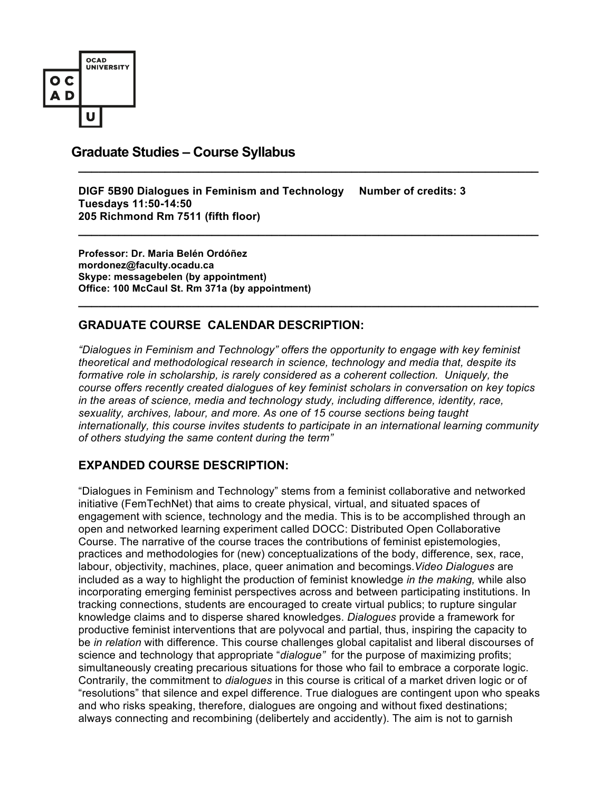

# **Graduate Studies – Course Syllabus \_\_\_\_\_\_\_\_\_\_\_\_\_\_\_\_\_\_\_\_\_\_\_\_\_\_\_\_\_\_\_\_\_\_\_\_\_\_\_\_\_\_\_\_\_\_\_\_\_\_\_\_\_\_\_\_\_\_\_\_\_\_\_\_\_\_\_\_\_**

**DIGF 5B90 Dialogues in Feminism and Technology Number of credits: 3 Tuesdays 11:50-14:50 205 Richmond Rm 7511 (fifth floor)**

**Professor: Dr. Maria Belén Ordóñez mordonez@faculty.ocadu.ca Skype: messagebelen (by appointment) Office: 100 McCaul St. Rm 371a (by appointment)**

# **GRADUATE COURSE CALENDAR DESCRIPTION:**

*"Dialogues in Feminism and Technology" offers the opportunity to engage with key feminist theoretical and methodological research in science, technology and media that, despite its formative role in scholarship, is rarely considered as a coherent collection. Uniquely, the course offers recently created dialogues of key feminist scholars in conversation on key topics in the areas of science, media and technology study, including difference, identity, race, sexuality, archives, labour, and more. As one of 15 course sections being taught internationally, this course invites students to participate in an international learning community of others studying the same content during the term"*

**\_\_\_\_\_\_\_\_\_\_\_\_\_\_\_\_\_\_\_\_\_\_\_\_\_\_\_\_\_\_\_\_\_\_\_\_\_\_\_\_\_\_\_\_\_\_\_\_\_\_\_\_\_\_\_\_\_\_\_\_\_\_\_\_\_\_\_\_\_**

**\_\_\_\_\_\_\_\_\_\_\_\_\_\_\_\_\_\_\_\_\_\_\_\_\_\_\_\_\_\_\_\_\_\_\_\_\_\_\_\_\_\_\_\_\_\_\_\_\_\_\_\_\_\_\_\_\_\_\_\_\_\_\_\_\_\_\_\_\_**

## **EXPANDED COURSE DESCRIPTION:**

"Dialogues in Feminism and Technology" stems from a feminist collaborative and networked initiative (FemTechNet) that aims to create physical, virtual, and situated spaces of engagement with science, technology and the media. This is to be accomplished through an open and networked learning experiment called DOCC: Distributed Open Collaborative Course. The narrative of the course traces the contributions of feminist epistemologies, practices and methodologies for (new) conceptualizations of the body, difference, sex, race, labour, objectivity, machines, place, queer animation and becomings.*Video Dialogues* are included as a way to highlight the production of feminist knowledge *in the making,* while also incorporating emerging feminist perspectives across and between participating institutions. In tracking connections, students are encouraged to create virtual publics; to rupture singular knowledge claims and to disperse shared knowledges. *Dialogues* provide a framework for productive feminist interventions that are polyvocal and partial, thus, inspiring the capacity to be *in relation* with difference. This course challenges global capitalist and liberal discourses of science and technology that appropriate "*dialogue"* for the purpose of maximizing profits; simultaneously creating precarious situations for those who fail to embrace a corporate logic. Contrarily, the commitment to *dialogues* in this course is critical of a market driven logic or of "resolutions" that silence and expel difference. True dialogues are contingent upon who speaks and who risks speaking, therefore, dialogues are ongoing and without fixed destinations; always connecting and recombining (delibertely and accidently). The aim is not to garnish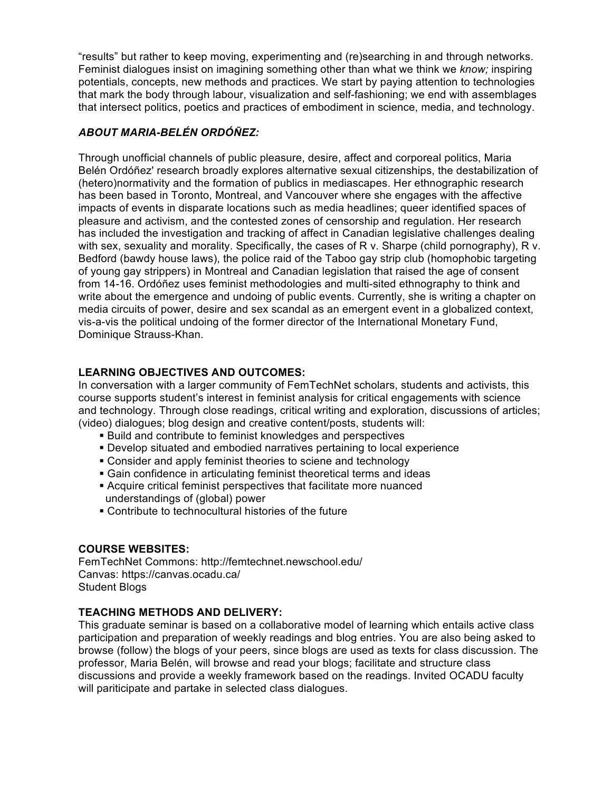"results" but rather to keep moving, experimenting and (re)searching in and through networks. Feminist dialogues insist on imagining something other than what we think we *know;* inspiring potentials, concepts, new methods and practices. We start by paying attention to technologies that mark the body through labour, visualization and self-fashioning; we end with assemblages that intersect politics, poetics and practices of embodiment in science, media, and technology.

# *ABOUT MARIA-BELÉN ORDÓÑEZ:*

Through unofficial channels of public pleasure, desire, affect and corporeal politics, Maria Belén Ordóñez' research broadly explores alternative sexual citizenships, the destabilization of (hetero)normativity and the formation of publics in mediascapes. Her ethnographic research has been based in Toronto, Montreal, and Vancouver where she engages with the affective impacts of events in disparate locations such as media headlines; queer identified spaces of pleasure and activism, and the contested zones of censorship and regulation. Her research has included the investigation and tracking of affect in Canadian legislative challenges dealing with sex, sexuality and morality. Specifically, the cases of R v. Sharpe (child pornography), R v. Bedford (bawdy house laws), the police raid of the Taboo gay strip club (homophobic targeting of young gay strippers) in Montreal and Canadian legislation that raised the age of consent from 14-16. Ordóñez uses feminist methodologies and multi-sited ethnography to think and write about the emergence and undoing of public events. Currently, she is writing a chapter on media circuits of power, desire and sex scandal as an emergent event in a globalized context, vis-a-vis the political undoing of the former director of the International Monetary Fund, Dominique Strauss-Khan.

## **LEARNING OBJECTIVES AND OUTCOMES:**

In conversation with a larger community of FemTechNet scholars, students and activists, this course supports student's interest in feminist analysis for critical engagements with science and technology. Through close readings, critical writing and exploration, discussions of articles; (video) dialogues; blog design and creative content/posts, students will:

- ! Build and contribute to feminist knowledges and perspectives
- ! Develop situated and embodied narratives pertaining to local experience
- ! Consider and apply feminist theories to sciene and technology
- **E** Gain confidence in articulating feminist theoretical terms and ideas
- ! Acquire critical feminist perspectives that facilitate more nuanced understandings of (global) power
- ! Contribute to technocultural histories of the future

#### **COURSE WEBSITES:**

FemTechNet Commons: http://femtechnet.newschool.edu/ Canvas: https://canvas.ocadu.ca/ Student Blogs

## **TEACHING METHODS AND DELIVERY:**

This graduate seminar is based on a collaborative model of learning which entails active class participation and preparation of weekly readings and blog entries. You are also being asked to browse (follow) the blogs of your peers, since blogs are used as texts for class discussion. The professor, Maria Belén, will browse and read your blogs; facilitate and structure class discussions and provide a weekly framework based on the readings. Invited OCADU faculty will pariticipate and partake in selected class dialogues.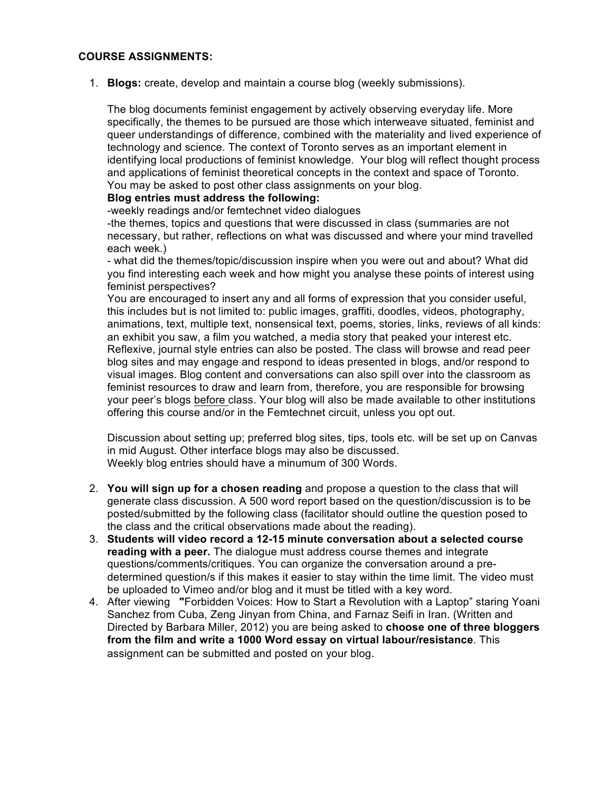#### **COURSE ASSIGNMENTS:**

1. **Blogs:** create, develop and maintain a course blog (weekly submissions).

The blog documents feminist engagement by actively observing everyday life. More specifically, the themes to be pursued are those which interweave situated, feminist and queer understandings of difference, combined with the materiality and lived experience of technology and science. The context of Toronto serves as an important element in identifying local productions of feminist knowledge. Your blog will reflect thought process and applications of feminist theoretical concepts in the context and space of Toronto. You may be asked to post other class assignments on your blog.

#### **Blog entries must address the following:**

-weekly readings and/or femtechnet video dialogues

-the themes, topics and questions that were discussed in class (summaries are not necessary, but rather, reflections on what was discussed and where your mind travelled each week.)

- what did the themes/topic/discussion inspire when you were out and about? What did you find interesting each week and how might you analyse these points of interest using feminist perspectives?

You are encouraged to insert any and all forms of expression that you consider useful, this includes but is not limited to: public images, graffiti, doodles, videos, photography, animations, text, multiple text, nonsensical text, poems, stories, links, reviews of all kinds: an exhibit you saw, a film you watched, a media story that peaked your interest etc. Reflexive, journal style entries can also be posted. The class will browse and read peer blog sites and may engage and respond to ideas presented in blogs, and/or respond to visual images. Blog content and conversations can also spill over into the classroom as feminist resources to draw and learn from, therefore, you are responsible for browsing your peer's blogs before class. Your blog will also be made available to other institutions offering this course and/or in the Femtechnet circuit, unless you opt out.

Discussion about setting up; preferred blog sites, tips, tools etc. will be set up on Canvas in mid August. Other interface blogs may also be discussed. Weekly blog entries should have a minumum of 300 Words.

- 2. **You will sign up for a chosen reading** and propose a question to the class that will generate class discussion. A 500 word report based on the question/discussion is to be posted/submitted by the following class (facilitator should outline the question posed to the class and the critical observations made about the reading).
- 3. **Students will video record a 12-15 minute conversation about a selected course reading with a peer.** The dialogue must address course themes and integrate questions/comments/critiques. You can organize the conversation around a predetermined question/s if this makes it easier to stay within the time limit. The video must be uploaded to Vimeo and/or blog and it must be titled with a key word.
- 4. After viewing **"**Forbidden Voices: How to Start a Revolution with a Laptop" staring Yoani Sanchez from Cuba, Zeng Jinyan from China, and Farnaz Seifi in Iran. (Written and Directed by Barbara Miller, 2012) you are being asked to **choose one of three bloggers from the film and write a 1000 Word essay on virtual labour/resistance**. This assignment can be submitted and posted on your blog.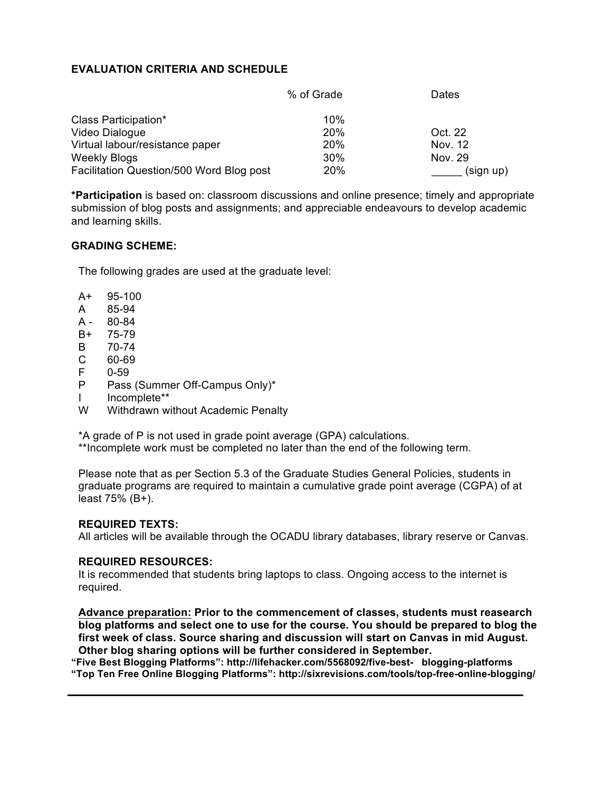### **EVALUATION CRITERIA AND SCHEDULE**

|                                          | % of Grade | Dates     |
|------------------------------------------|------------|-----------|
| Class Participation*                     | 10%        |           |
| Video Dialogue                           | 20%        | Oct. 22   |
| Virtual labour/resistance paper          | 20%        | Nov. 12   |
| <b>Weekly Blogs</b>                      | 30%        | Nov. 29   |
| Facilitation Question/500 Word Blog post | 20%        | (sign up) |

**\*Participation** is based on: classroom discussions and online presence; timely and appropriate submission of blog posts and assignments; and appreciable endeavours to develop academic and learning skills.

#### **GRADING SCHEME:**

The following grades are used at the graduate level:

- A+ 95-100
- A 85-94
- A 80-84
- B+ 75-79
- B 70-74
- C 60-69
- F 0-59
- P Pass (Summer Off-Campus Only)\*
- I Incomplete\*\*
- W Withdrawn without Academic Penalty

\*A grade of P is not used in grade point average (GPA) calculations.

\*\*Incomplete work must be completed no later than the end of the following term.

Please note that as per Section 5.3 of the Graduate Studies General Policies, students in graduate programs are required to maintain a cumulative grade point average (CGPA) of at least 75% (B+).

#### **REQUIRED TEXTS:**

All articles will be available through the OCADU library databases, library reserve or Canvas.

#### **REQUIRED RESOURCES:**

It is recommended that students bring laptops to class. Ongoing access to the internet is required.

**Advance preparation: Prior to the commencement of classes, students must reasearch blog platforms and select one to use for the course. You should be prepared to blog the first week of class. Source sharing and discussion will start on Canvas in mid August. Other blog sharing options will be further considered in September.**

**"Five Best Blogging Platforms": http://lifehacker.com/5568092/five-best- blogging-platforms "Top Ten Free Online Blogging Platforms": http://sixrevisions.com/tools/top-free-online-blogging/**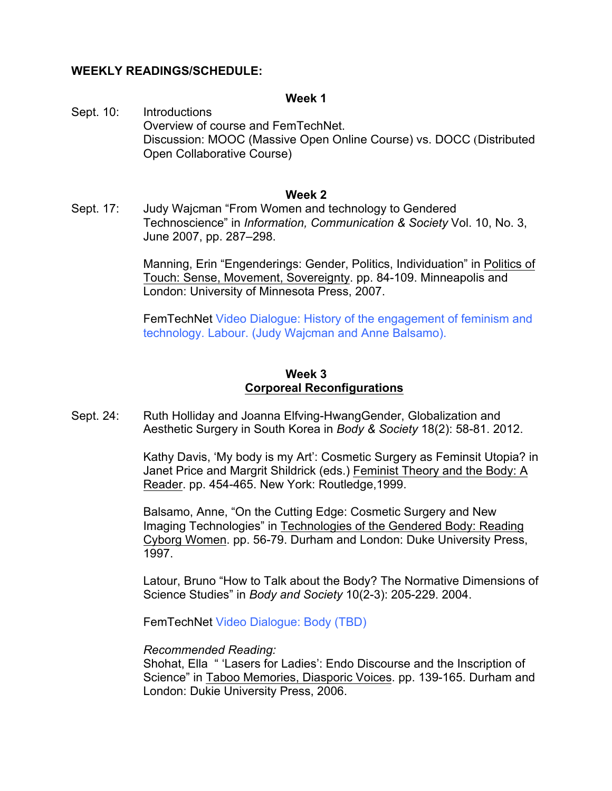### **WEEKLY READINGS/SCHEDULE:**

#### **Week 1**

Sept. 10: Introductions Overview of course and FemTechNet. Discussion: MOOC (Massive Open Online Course) vs. DOCC (Distributed Open Collaborative Course)

#### **Week 2**

Sept. 17: Judy Wajcman "From Women and technology to Gendered Technoscience" in *Information, Communication & Society* Vol. 10, No. 3, June 2007, pp. 287–298.

> Manning, Erin "Engenderings: Gender, Politics, Individuation" in Politics of Touch: Sense, Movement, Sovereignty. pp. 84-109. Minneapolis and London: University of Minnesota Press, 2007.

> FemTechNet Video Dialogue: History of the engagement of feminism and technology. Labour. (Judy Wajcman and Anne Balsamo).

### **Week 3 Corporeal Reconfigurations**

Sept. 24: Ruth Holliday and Joanna Elfving-HwangGender, Globalization and Aesthetic Surgery in South Korea in *Body & Society* 18(2): 58-81. 2012.

> Kathy Davis, 'My body is my Art': Cosmetic Surgery as Feminsit Utopia? in Janet Price and Margrit Shildrick (eds.) Feminist Theory and the Body: A Reader. pp. 454-465. New York: Routledge,1999.

Balsamo, Anne, "On the Cutting Edge: Cosmetic Surgery and New Imaging Technologies" in Technologies of the Gendered Body: Reading Cyborg Women. pp. 56-79. Durham and London: Duke University Press, 1997.

Latour, Bruno "How to Talk about the Body? The Normative Dimensions of Science Studies" in *Body and Society* 10(2-3): 205-229. 2004.

FemTechNet Video Dialogue: Body (TBD)

#### *Recommended Reading:*

Shohat, Ella " 'Lasers for Ladies': Endo Discourse and the Inscription of Science" in Taboo Memories, Diasporic Voices. pp. 139-165. Durham and London: Dukie University Press, 2006.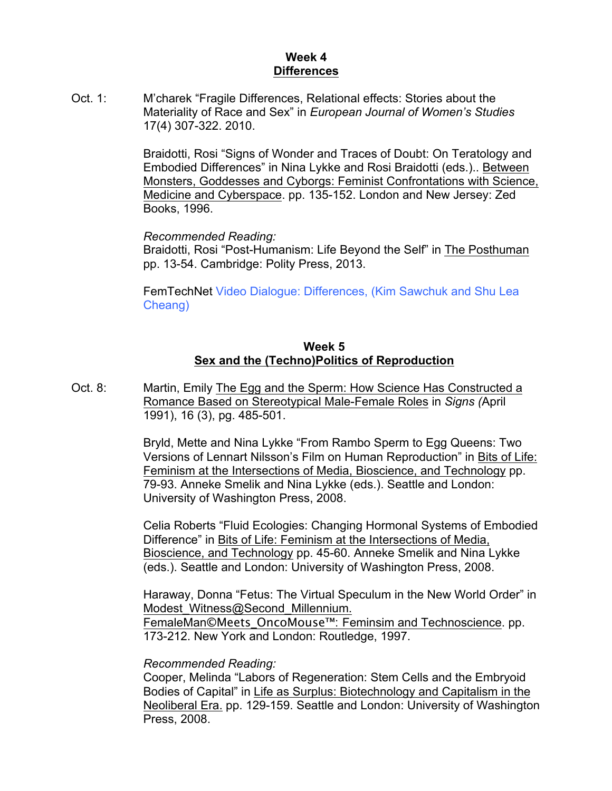# **Week 4 Differences**

Oct. 1: M'charek "Fragile Differences, Relational effects: Stories about the Materiality of Race and Sex" in *European Journal of Women's Studies* 17(4) 307-322. 2010.

> Braidotti, Rosi "Signs of Wonder and Traces of Doubt: On Teratology and Embodied Differences" in Nina Lykke and Rosi Braidotti (eds.).. Between Monsters, Goddesses and Cyborgs: Feminist Confrontations with Science, Medicine and Cyberspace. pp. 135-152. London and New Jersey: Zed Books, 1996.

*Recommended Reading:*

Braidotti, Rosi "Post-Humanism: Life Beyond the Self" in The Posthuman pp. 13-54. Cambridge: Polity Press, 2013.

FemTechNet Video Dialogue: Differences, (Kim Sawchuk and Shu Lea Cheang)

# **Week 5 Sex and the (Techno)Politics of Reproduction**

Oct. 8: Martin, Emily The Egg and the Sperm: How Science Has Constructed a Romance Based on Stereotypical Male-Female Roles in *Signs (*April 1991), 16 (3), pg. 485-501.

> Bryld, Mette and Nina Lykke "From Rambo Sperm to Egg Queens: Two Versions of Lennart Nilsson's Film on Human Reproduction" in Bits of Life: Feminism at the Intersections of Media, Bioscience, and Technology pp. 79-93. Anneke Smelik and Nina Lykke (eds.). Seattle and London: University of Washington Press, 2008.

> Celia Roberts "Fluid Ecologies: Changing Hormonal Systems of Embodied Difference" in Bits of Life: Feminism at the Intersections of Media, Bioscience, and Technology pp. 45-60. Anneke Smelik and Nina Lykke (eds.). Seattle and London: University of Washington Press, 2008.

> Haraway, Donna "Fetus: The Virtual Speculum in the New World Order" in Modest Witness@Second Millennium. FemaleMan**©**Meets\_OncoMouse™: Feminsim and Technoscience. pp.

173-212. New York and London: Routledge, 1997.

## *Recommended Reading:*

Cooper, Melinda "Labors of Regeneration: Stem Cells and the Embryoid Bodies of Capital" in Life as Surplus: Biotechnology and Capitalism in the Neoliberal Era. pp. 129-159. Seattle and London: University of Washington Press, 2008.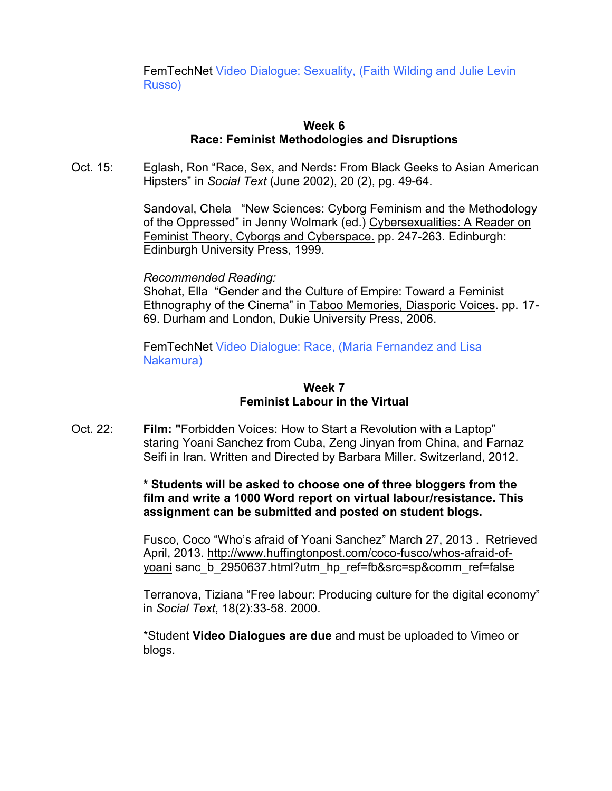FemTechNet Video Dialogue: Sexuality, (Faith Wilding and Julie Levin Russo)

### **Week 6 Race: Feminist Methodologies and Disruptions**

Oct. 15: Eglash, Ron "Race, Sex, and Nerds: From Black Geeks to Asian American Hipsters" in *Social Text* (June 2002), 20 (2), pg. 49-64.

> Sandoval, Chela "New Sciences: Cyborg Feminism and the Methodology of the Oppressed" in Jenny Wolmark (ed.) Cybersexualities: A Reader on Feminist Theory, Cyborgs and Cyberspace. pp. 247-263. Edinburgh: Edinburgh University Press, 1999.

#### *Recommended Reading:*

Shohat, Ella "Gender and the Culture of Empire: Toward a Feminist Ethnography of the Cinema" in Taboo Memories, Diasporic Voices. pp. 17- 69. Durham and London, Dukie University Press, 2006.

FemTechNet Video Dialogue: Race, (Maria Fernandez and Lisa Nakamura)

## **Week 7 Feminist Labour in the Virtual**

Oct. 22: **Film: "**Forbidden Voices: How to Start a Revolution with a Laptop" staring Yoani Sanchez from Cuba, Zeng Jinyan from China, and Farnaz Seifi in Iran. Written and Directed by Barbara Miller. Switzerland, 2012.

## **\* Students will be asked to choose one of three bloggers from the film and write a 1000 Word report on virtual labour/resistance. This assignment can be submitted and posted on student blogs.**

Fusco, Coco "Who's afraid of Yoani Sanchez" March 27, 2013 . Retrieved April, 2013. http://www.huffingtonpost.com/coco-fusco/whos-afraid-ofyoani sanc\_b\_2950637.html?utm\_hp\_ref=fb&src=sp&comm\_ref=false

Terranova, Tiziana "Free labour: Producing culture for the digital economy" in *Social Text*, 18(2):33-58. 2000.

\*Student **Video Dialogues are due** and must be uploaded to Vimeo or blogs.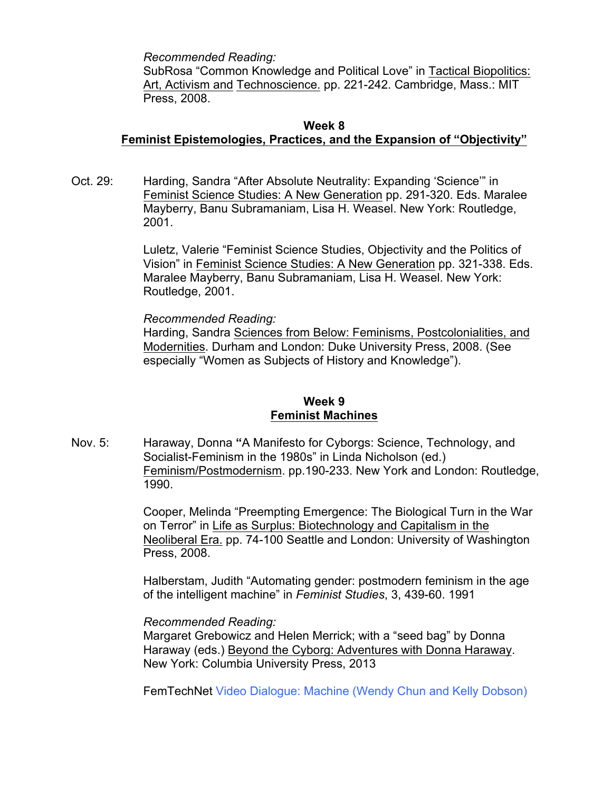*Recommended Reading:*

SubRosa "Common Knowledge and Political Love" in Tactical Biopolitics: Art, Activism and Technoscience. pp. 221-242. Cambridge, Mass.: MIT Press, 2008.

### **Week 8 Feminist Epistemologies, Practices, and the Expansion of "Objectivity"**

Oct. 29: Harding, Sandra "After Absolute Neutrality: Expanding 'Science'" in Feminist Science Studies: A New Generation pp. 291-320. Eds. Maralee Mayberry, Banu Subramaniam, Lisa H. Weasel. New York: Routledge, 2001.

> Luletz, Valerie "Feminist Science Studies, Objectivity and the Politics of Vision" in Feminist Science Studies: A New Generation pp. 321-338. Eds. Maralee Mayberry, Banu Subramaniam, Lisa H. Weasel. New York: Routledge, 2001.

*Recommended Reading:*

Harding, Sandra Sciences from Below: Feminisms, Postcolonialities, and Modernities. Durham and London: Duke University Press, 2008. (See especially "Women as Subjects of History and Knowledge").

# **Week 9 Feminist Machines**

Nov. 5: Haraway, Donna **"**A Manifesto for Cyborgs: Science, Technology, and Socialist-Feminism in the 1980s" in Linda Nicholson (ed.) Feminism/Postmodernism. pp.190-233. New York and London: Routledge, 1990.

> Cooper, Melinda "Preempting Emergence: The Biological Turn in the War on Terror" in Life as Surplus: Biotechnology and Capitalism in the Neoliberal Era. pp. 74-100 Seattle and London: University of Washington Press, 2008.

> Halberstam, Judith "Automating gender: postmodern feminism in the age of the intelligent machine" in *Feminist Studies*, 3, 439-60. 1991

#### *Recommended Reading:*

Margaret Grebowicz and Helen Merrick; with a "seed bag" by Donna Haraway (eds.) Beyond the Cyborg: Adventures with Donna Haraway. New York: Columbia University Press, 2013

FemTechNet Video Dialogue: Machine (Wendy Chun and Kelly Dobson)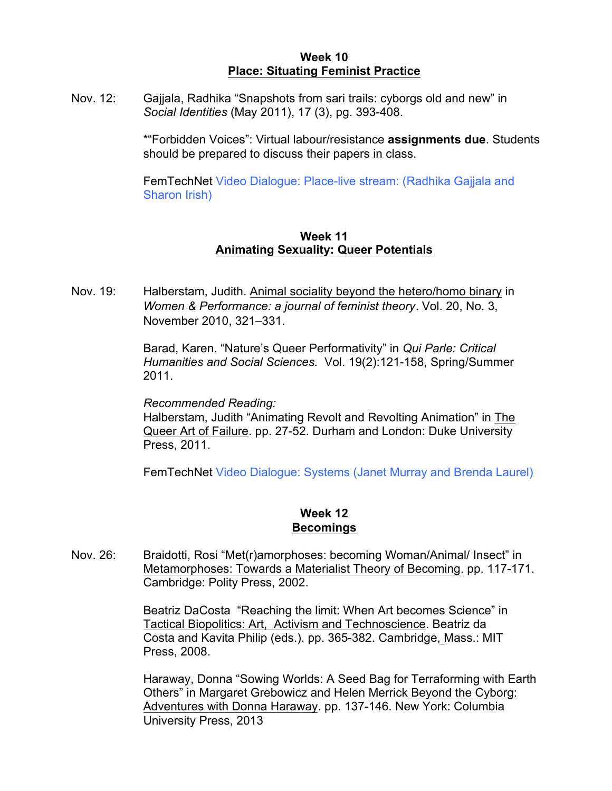### **Week 10 Place: Situating Feminist Practice**

Nov. 12: Gajjala, Radhika "Snapshots from sari trails: cyborgs old and new" in *Social Identities* (May 2011), 17 (3), pg. 393-408.

> \*"Forbidden Voices": Virtual labour/resistance **assignments due**. Students should be prepared to discuss their papers in class.

FemTechNet Video Dialogue: Place-live stream: (Radhika Gajjala and Sharon Irish)

### **Week 11 Animating Sexuality: Queer Potentials**

Nov. 19: Halberstam, Judith. Animal sociality beyond the hetero/homo binary in *Women & Performance: a journal of feminist theory*. Vol. 20, No. 3, November 2010, 321–331.

> Barad, Karen. "Nature's Queer Performativity" in *Qui Parle: Critical Humanities and Social Sciences.* Vol. 19(2):121-158, Spring/Summer 2011.

*Recommended Reading:*

Halberstam, Judith "Animating Revolt and Revolting Animation" in The Queer Art of Failure. pp. 27-52. Durham and London: Duke University Press, 2011.

FemTechNet Video Dialogue: Systems (Janet Murray and Brenda Laurel)

# **Week 12 Becomings**

Nov. 26: Braidotti, Rosi "Met(r)amorphoses: becoming Woman/Animal/ Insect" in Metamorphoses: Towards a Materialist Theory of Becoming. pp. 117-171. Cambridge: Polity Press, 2002.

> Beatriz DaCosta "Reaching the limit: When Art becomes Science" in Tactical Biopolitics: Art, Activism and Technoscience. Beatriz da Costa and Kavita Philip (eds.). pp. 365-382. Cambridge, Mass.: MIT Press, 2008.

Haraway, Donna "Sowing Worlds: A Seed Bag for Terraforming with Earth Others" in Margaret Grebowicz and Helen Merrick Beyond the Cyborg: Adventures with Donna Haraway. pp. 137-146. New York: Columbia University Press, 2013